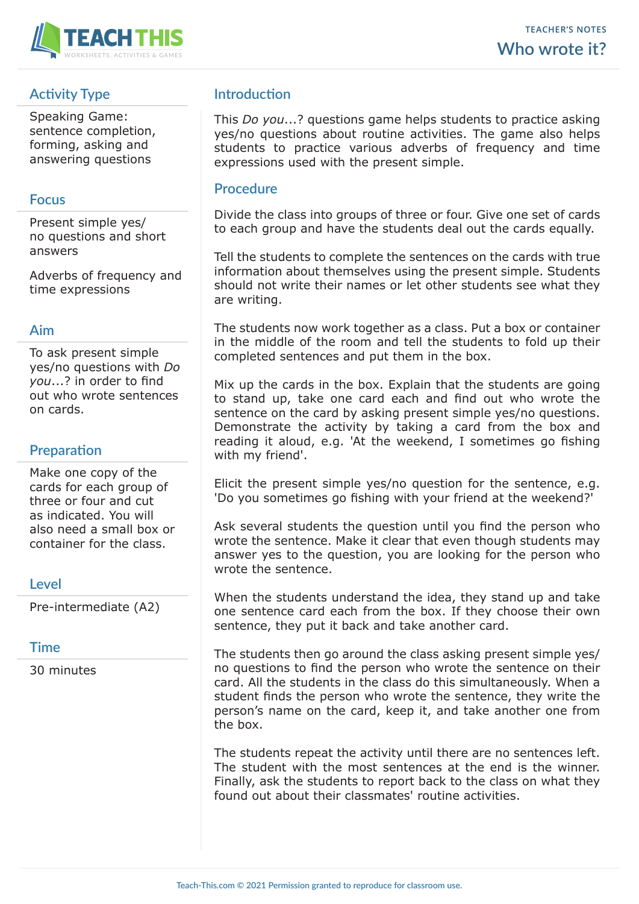

# **Activity Type**

Speaking Game: sentence completion, forming, asking and answering questions

### **Focus**

Present simple yes/ no questions and short answers

Adverbs of frequency and time expressions

### **Aim**

To ask present simple yes/no questions with *Do you*...? in order to find out who wrote sentences on cards.

## **Preparation**

Make one copy of the cards for each group of three or four and cut as indicated. You will also need a small box or container for the class.

### **Level**

Pre-intermediate (A2)

#### **Time**

30 minutes

## **Introduction**

This *Do you*...? questions game helps students to practice asking yes/no questions about routine activities. The game also helps students to practice various adverbs of frequency and time expressions used with the present simple.

#### **Procedure**

Divide the class into groups of three or four. Give one set of cards to each group and have the students deal out the cards equally.

Tell the students to complete the sentences on the cards with true information about themselves using the present simple. Students should not write their names or let other students see what they are writing.

The students now work together as a class. Put a box or container in the middle of the room and tell the students to fold up their completed sentences and put them in the box.

Mix up the cards in the box. Explain that the students are going to stand up, take one card each and find out who wrote the sentence on the card by asking present simple yes/no questions. Demonstrate the activity by taking a card from the box and reading it aloud, e.g. 'At the weekend, I sometimes go fishing with my friend'.

Elicit the present simple yes/no question for the sentence, e.g. 'Do you sometimes go fishing with your friend at the weekend?'

Ask several students the question until you find the person who wrote the sentence. Make it clear that even though students may answer yes to the question, you are looking for the person who wrote the sentence.

When the students understand the idea, they stand up and take one sentence card each from the box. If they choose their own sentence, they put it back and take another card.

The students then go around the class asking present simple yes/ no questions to find the person who wrote the sentence on their card. All the students in the class do this simultaneously. When a student finds the person who wrote the sentence, they write the person's name on the card, keep it, and take another one from the box.

The students repeat the activity until there are no sentences left. The student with the most sentences at the end is the winner. Finally, ask the students to report back to the class on what they found out about their classmates' routine activities.